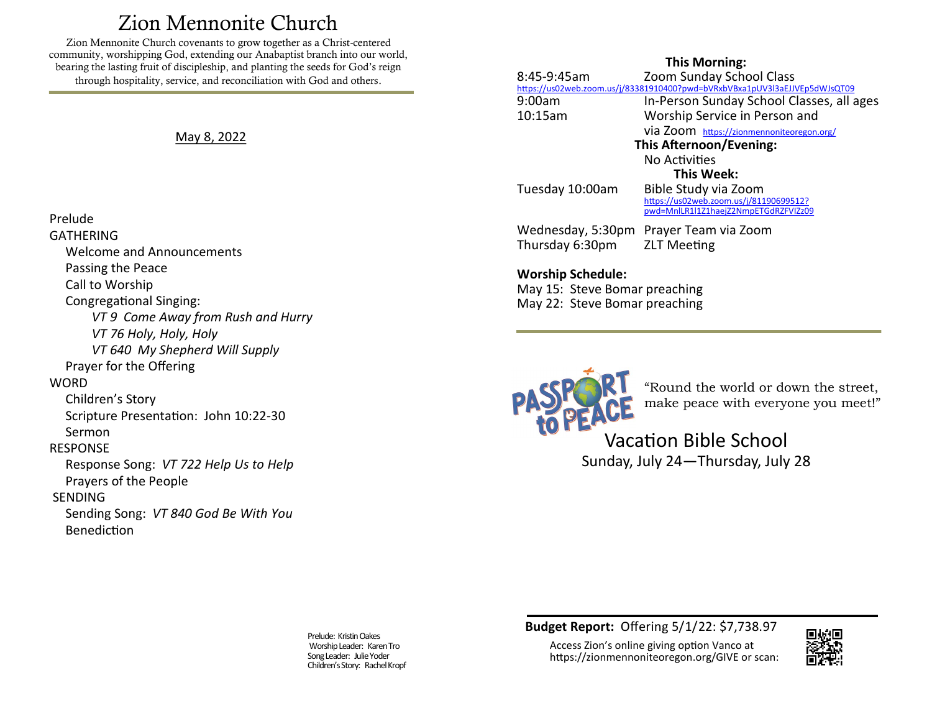# Zion Mennonite Church

<span id="page-0-0"></span>Zion Mennonite Church covenants to grow together as a Christ-centered community, worshipping God, extending our Anabaptist branch into our world, bearing the lasting fruit of discipleship, and planting the seeds for God's reign through hospitality, service, and reconciliation with God and others.

May 8, 2022

#### Prelude

GATHERING Welcome and Announcements Passing the Peace Call to Worship Congregational Singing: *VT 9 Come Away from Rush and Hurry VT 76 Holy, Holy, Holy VT 640 My Shepherd Will Supply* Prayer for the Offering **WORD**  Children's Story Scripture Presentation: John 10:22-30 Sermon RESPONSE Response Song: *VT 722 Help Us to Help* Prayers of the People SENDING Sending Song: *VT 840 God Be With You* Benediction

### **This Morning:**

8:45-9:45am Zoom Sunday School Class <https://us02web.zoom.us/j/83381910400?pwd=bVRxbVBxa1pUV3l3aEJJVEp5dWJsQT09> 9:00am In-Person Sunday School Classes, all ages 10:15am Worship Service in Person and via Zoom [https://zionmennoniteoregon.org/](#page-0-0) **This Afternoon/Evening:** No Activities **This Week:** Tuesday 10:00am Bible Study via Zoom [https://us02web.zoom.us/j/81190699512?](https://us02web.zoom.us/j/81190699512?pwd=MnlLR1l1Z1haejZ2NmpETGdRZFVIZz09) [pwd=MnlLR1l1Z1haejZ2NmpETGdRZFVIZz09](https://us02web.zoom.us/j/81190699512?pwd=MnlLR1l1Z1haejZ2NmpETGdRZFVIZz09) Wednesday, 5:30pm Prayer Team via Zoom

**Worship Schedule:** 

May 15: Steve Bomar preaching May 22: Steve Bomar preaching

Thursday 6:30pm ZLT Meeting



"Round the world or down the street, make peace with everyone you meet!"

Vacation Bible School Sunday, July 24—Thursday, July 28

Prelude: Kristin Oakes Worship Leader: Karen Tro Song Leader: Julie Yoder Children's Story: Rachel Kropf **Budget Report:** Offering 5/1/22: \$7,738.97

Access Zion's online giving option Vanco at https://zionmennoniteoregon.org/GIVE or scan:

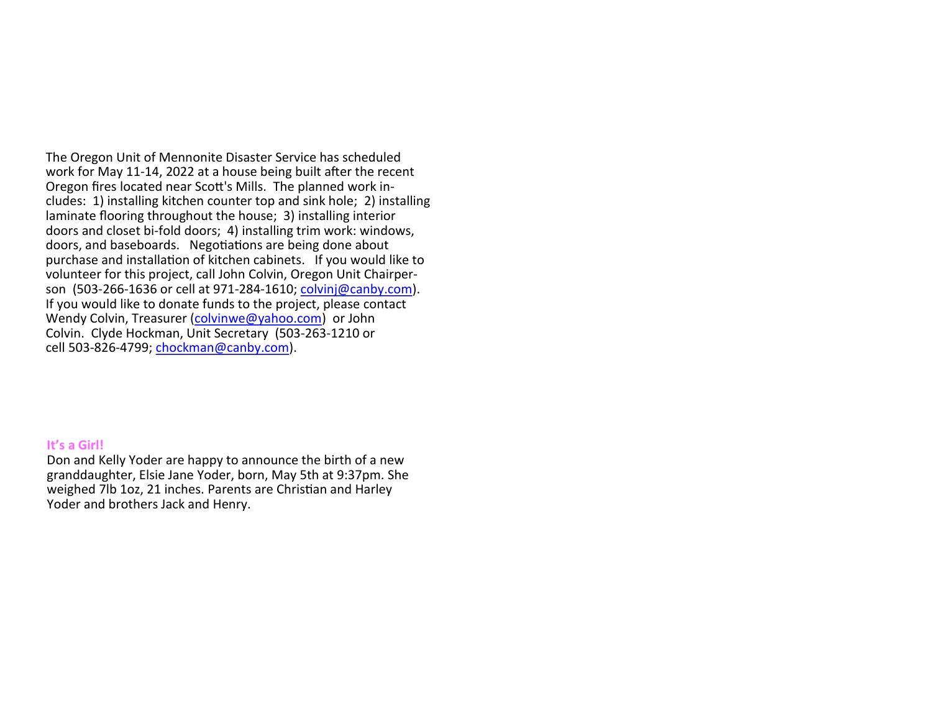The Oregon Unit of Mennonite Disaster Service has scheduled work for May 11-14, 2022 at a house being built after the recent Oregon fires located near Scott's Mills. The planned work includes: 1) installing kitchen counter top and sink hole; 2) installing laminate flooring throughout the house; 3) installing interior doors and closet bi-fold doors; 4) installing trim work: windows, doors, and baseboards. Negotiations are being done about purchase and installation of kitchen cabinets. If you would like to volunteer for this project, call John Colvin, Oregon Unit Chairperson (503-266-1636 or cell at 971-284-1610; [colvinj@canby.com\)](mailto:colvinj@canby.com). If you would like to donate funds to the project, please contact Wendy Colvin, Treasurer [\(colvinwe@yahoo.com\)](mailto:colvinwe@yahoo.com) or John Colvin. Clyde Hockman, Unit Secretary (503-263-1210 or cell 503-826-4799; [chockman@canby.com\)](mailto:chockman@canby.com).

#### **It's a Girl!**

Don and Kelly Yoder are happy to announce the birth of a new granddaughter, Elsie Jane Yoder, born, May 5th at 9:37pm. She weighed 7lb 1oz, 21 inches. Parents are Christian and Harley Yoder and brothers Jack and Henry.